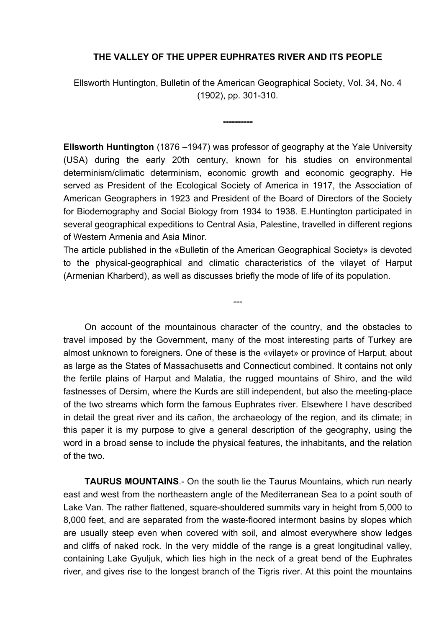## **THE VALLEY OF THE UPPER EUPHRATES RIVER AND ITS PEOPLE**

Ellsworth Huntington, Bulletin of the American Geographical Society, Vol. 34, No. 4 (1902), pp. 301-310.

**----------** 

**Ellsworth Huntington** (1876 –1947) was professor of geography at the Yale University (USA) during the early 20th century, known for his studies on environmental determinism/climatic determinism, economic growth and economic geography. He served as President of the Ecological Society of America in 1917, the Association of American Geographers in 1923 and President of the Board of Directors of the Society for Biodemography and Social Biology from 1934 to 1938. E.Huntington participated in several geographical expeditions to Central Asia, Palestine, travelled in different regions of Western Armenia and Asia Minor.

The article published in the «Bulletin of the American Geographical Society» is devoted to the physical-geographical and climatic characteristics of the vilayet of Harput (Armenian Kharberd), as well as discusses briefly the mode of life of its population.

---

On account of the mountainous character of the country, and the obstacles to travel imposed by the Government, many of the most interesting parts of Turkey are almost unknown to foreigners. One of these is the «vilayet» or province of Harput, about as large as the States of Massachusetts and Connecticut combined. It contains not only the fertile plains of Harput and Malatia, the rugged mountains of Shiro, and the wild fastnesses of Dersim, where the Kurds are still independent, but also the meeting-place of the two streams which form the famous Euphrates river. Elsewhere I have described in detail the great river and its cañon, the archaeology of the region, and its climate; in this paper it is my purpose to give a general description of the geography, using the word in a broad sense to include the physical features, the inhabitants, and the relation of the two.

**TAURUS MOUNTAINS**.- On the south lie the Taurus Mountains, which run nearly east and west from the northeastern angle of the Mediterranean Sea to a point south of Lake Van. The rather flattened, square-shouldered summits vary in height from 5,000 to 8,000 feet, and are separated from the waste-floored intermont basins by slopes which are usually steep even when covered with soil, and almost everywhere show ledges and cliffs of naked rock. In the very middle of the range is a great longitudinal valley, containing Lake Gyuljuk, which lies high in the neck of a great bend of the Euphrates river, and gives rise to the longest branch of the Tigris river. At this point the mountains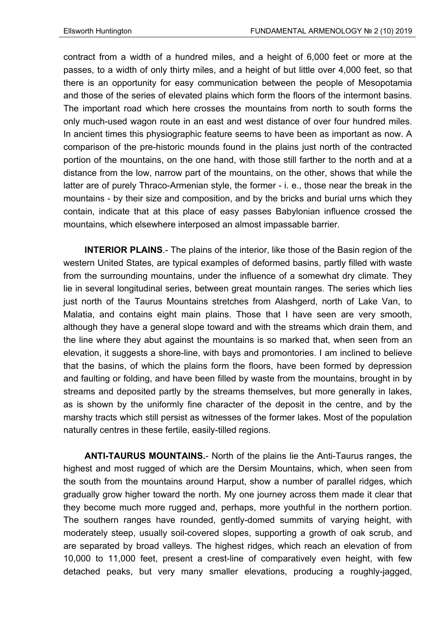contract from a width of a hundred miles, and a height of 6,000 feet or more at the passes, to a width of only thirty miles, and a height of but little over 4,000 feet, so that there is an opportunity for easy communication between the people of Mesopotamia and those of the series of elevated plains which form the floors of the intermont basins. The important road which here crosses the mountains from north to south forms the only much-used wagon route in an east and west distance of over four hundred miles. In ancient times this physiographic feature seems to have been as important as now. A comparison of the pre-historic mounds found in the plains just north of the contracted portion of the mountains, on the one hand, with those still farther to the north and at a distance from the low, narrow part of the mountains, on the other, shows that while the latter are of purely Thraco-Armenian style, the former - i. e., those near the break in the mountains - by their size and composition, and by the bricks and burial urns which they contain, indicate that at this place of easy passes Babylonian influence crossed the mountains, which elsewhere interposed an almost impassable barrier.

**INTERIOR PLAINS**.- The plains of the interior, like those of the Basin region of the western United States, are typical examples of deformed basins, partly filled with waste from the surrounding mountains, under the influence of a somewhat dry climate. They lie in several longitudinal series, between great mountain ranges. The series which lies just north of the Taurus Mountains stretches from Alashgerd, north of Lake Van, to Malatia, and contains eight main plains. Those that I have seen are very smooth, although they have a general slope toward and with the streams which drain them, and the line where they abut against the mountains is so marked that, when seen from an elevation, it suggests a shore-line, with bays and promontories. I am inclined to believe that the basins, of which the plains form the floors, have been formed by depression and faulting or folding, and have been filled by waste from the mountains, brought in by streams and deposited partly by the streams themselves, but more generally in lakes, as is shown by the uniformly fine character of the deposit in the centre, and by the marshy tracts which still persist as witnesses of the former lakes. Most of the population naturally centres in these fertile, easily-tilled regions.

**ANTI-TAURUS MOUNTAINS.**- North of the plains lie the Anti-Taurus ranges, the highest and most rugged of which are the Dersim Mountains, which, when seen from the south from the mountains around Harput, show a number of parallel ridges, which gradually grow higher toward the north. My one journey across them made it clear that they become much more rugged and, perhaps, more youthful in the northern portion. The southern ranges have rounded, gently-domed summits of varying height, with moderately steep, usually soil-covered slopes, supporting a growth of oak scrub, and are separated by broad valleys. The highest ridges, which reach an elevation of from 10,000 to 11,000 feet, present a crest-line of comparatively even height, with few detached peaks, but very many smaller elevations, producing a roughly-jagged,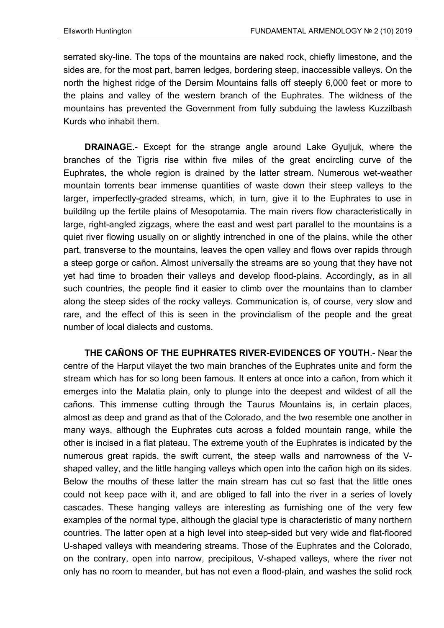serrated sky-line. The tops of the mountains are naked rock, chiefly limestone, and the sides are, for the most part, barren ledges, bordering steep, inaccessible valleys. On the north the highest ridge of the Dersim Mountains falls off steeply 6,000 feet or more to the plains and valley of the western branch of the Euphrates. The wildness of the mountains has prevented the Government from fully subduing the lawless Kuzzilbash Kurds who inhabit them.

**DRAINAG**E.- Except for the strange angle around Lake Gyuljuk, where the branches of the Tigris rise within five miles of the great encircling curve of the Euphrates, the whole region is drained by the latter stream. Numerous wet-weather mountain torrents bear immense quantities of waste down their steep valleys to the larger, imperfectly-graded streams, which, in turn, give it to the Euphrates to use in buildilng up the fertile plains of Mesopotamia. The main rivers flow characteristically in large, right-angled zigzags, where the east and west part parallel to the mountains is a quiet river flowing usually on or slightly intrenched in one of the plains, while the other part, transverse to the mountains, leaves the open valley and flows over rapids through a steep gorge or cañon. Almost universally the streams are so young that they have not yet had time to broaden their valleys and develop flood-plains. Accordingly, as in all such countries, the people find it easier to climb over the mountains than to clamber along the steep sides of the rocky valleys. Communication is, of course, very slow and rare, and the effect of this is seen in the provincialism of the people and the great number of local dialects and customs.

**THE CAÑONS OF THE EUPHRATES RIVER-EVIDENCES OF YOUTH**.- Near the centre of the Harput vilayet the two main branches of the Euphrates unite and form the stream which has for so long been famous. It enters at once into a cañon, from which it emerges into the Malatia plain, only to plunge into the deepest and wildest of all the cañons. This immense cutting through the Taurus Mountains is, in certain places, almost as deep and grand as that of the Colorado, and the two resemble one another in many ways, although the Euphrates cuts across a folded mountain range, while the other is incised in a flat plateau. The extreme youth of the Euphrates is indicated by the numerous great rapids, the swift current, the steep walls and narrowness of the Vshaped valley, and the little hanging valleys which open into the cañon high on its sides. Below the mouths of these latter the main stream has cut so fast that the little ones could not keep pace with it, and are obliged to fall into the river in a series of lovely cascades. These hanging valleys are interesting as furnishing one of the very few examples of the normal type, although the glacial type is characteristic of many northern countries. The latter open at a high level into steep-sided but very wide and flat-floored U-shaped valleys with meandering streams. Those of the Euphrates and the Colorado, on the contrary, open into narrow, precipitous, V-shaped valleys, where the river not only has no room to meander, but has not even a flood-plain, and washes the solid rock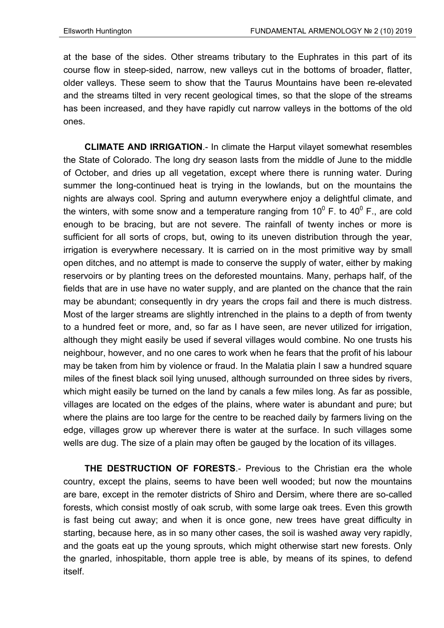at the base of the sides. Other streams tributary to the Euphrates in this part of its course flow in steep-sided, narrow, new valleys cut in the bottoms of broader, flatter, older valleys. These seem to show that the Taurus Mountains have been re-elevated and the streams tilted in very recent geological times, so that the slope of the streams has been increased, and they have rapidly cut narrow valleys in the bottoms of the old ones.

**CLIMATE AND IRRIGATION**.- In climate the Harput vilayet somewhat resembles the State of Colorado. The long dry season lasts from the middle of June to the middle of October, and dries up all vegetation, except where there is running water. During summer the long-continued heat is trying in the lowlands, but on the mountains the nights are always cool. Spring and autumn everywhere enjoy a delightful climate, and the winters, with some snow and a temperature ranging from 10 $^0$  F. to 40 $^0$  F., are cold enough to be bracing, but are not severe. The rainfall of twenty inches or more is sufficient for all sorts of crops, but, owing to its uneven distribution through the year, irrigation is everywhere necessary. It is carried on in the most primitive way by small open ditches, and no attempt is made to conserve the supply of water, either by making reservoirs or by planting trees on the deforested mountains. Many, perhaps half, of the fields that are in use have no water supply, and are planted on the chance that the rain may be abundant; consequently in dry years the crops fail and there is much distress. Most of the larger streams are slightly intrenched in the plains to a depth of from twenty to a hundred feet or more, and, so far as I have seen, are never utilized for irrigation, although they might easily be used if several villages would combine. No one trusts his neighbour, however, and no one cares to work when he fears that the profit of his labour may be taken from him by violence or fraud. In the Malatia plain I saw a hundred square miles of the finest black soil lying unused, although surrounded on three sides by rivers, which might easily be turned on the land by canals a few miles long. As far as possible, villages are located on the edges of the plains, where water is abundant and pure; but where the plains are too large for the centre to be reached daily by farmers living on the edge, villages grow up wherever there is water at the surface. In such villages some wells are dug. The size of a plain may often be gauged by the location of its villages.

**THE DESTRUCTION OF FORESTS**.- Previous to the Christian era the whole country, except the plains, seems to have been well wooded; but now the mountains are bare, except in the remoter districts of Shiro and Dersim, where there are so-called forests, which consist mostly of oak scrub, with some large oak trees. Even this growth is fast being cut away; and when it is once gone, new trees have great difficulty in starting, because here, as in so many other cases, the soil is washed away very rapidly, and the goats eat up the young sprouts, which might otherwise start new forests. Only the gnarled, inhospitable, thorn apple tree is able, by means of its spines, to defend itself.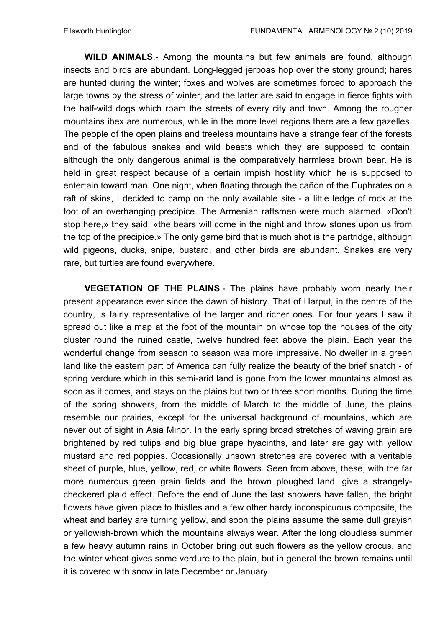**WILD ANIMALS**.- Among the mountains but few animals are found, although insects and birds are abundant. Long-legged jerboas hop over the stony ground; hares are hunted during the winter; foxes and wolves are sometimes forced to approach the large towns by the stress of winter, and the latter are said to engage in fierce fights with the half-wild dogs which roam the streets of every city and town. Among the rougher mountains ibex are numerous, while in the more level regions there are a few gazelles. The people of the open plains and treeless mountains have a strange fear of the forests and of the fabulous snakes and wild beasts which they are supposed to contain, although the only dangerous animal is the comparatively harmless brown bear. He is held in great respect because of a certain impish hostility which he is supposed to entertain toward man. One night, when floating through the cañon of the Euphrates on a raft of skins, I decided to camp on the only available site - a little ledge of rock at the foot of an overhanging precipice. The Armenian raftsmen were much alarmed. «Don't stop here,» they said, «the bears will come in the night and throw stones upon us from the top of the precipice.» The only game bird that is much shot is the partridge, although wild pigeons, ducks, snipe, bustard, and other birds are abundant. Snakes are very rare, but turtles are found everywhere.

**VEGETATION OF THE PLAINS**.- The plains have probably worn nearly their present appearance ever since the dawn of history. That of Harput, in the centre of the country, is fairly representative of the larger and richer ones. For four years I saw it spread out like a map at the foot of the mountain on whose top the houses of the city cluster round the ruined castle, twelve hundred feet above the plain. Each year the wonderful change from season to season was more impressive. No dweller in a green land like the eastern part of America can fully realize the beauty of the brief snatch - of spring verdure which in this semi-arid land is gone from the lower mountains almost as soon as it comes, and stays on the plains but two or three short months. During the time of the spring showers, from the middle of March to the middle of June, the plains resemble our prairies, except for the universal background of mountains, which are never out of sight in Asia Minor. In the early spring broad stretches of waving grain are brightened by red tulips and big blue grape hyacinths, and later are gay with yellow mustard and red poppies. Occasionally unsown stretches are covered with a veritable sheet of purple, blue, yellow, red, or white flowers. Seen from above, these, with the far more numerous green grain fields and the brown ploughed land, give a strangelycheckered plaid effect. Before the end of June the last showers have fallen, the bright flowers have given place to thistles and a few other hardy inconspicuous composite, the wheat and barley are turning yellow, and soon the plains assume the same dull grayish or yellowish-brown which the mountains always wear. After the long cloudless summer a few heavy autumn rains in October bring out such flowers as the yellow crocus, and the winter wheat gives some verdure to the plain, but in general the brown remains until it is covered with snow in late December or January.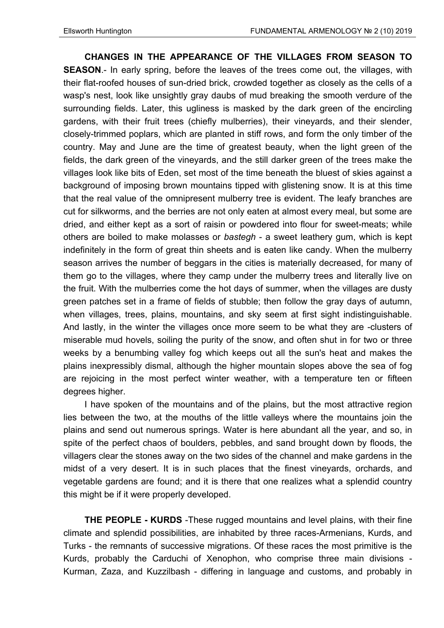**CHANGES IN THE APPEARANCE OF THE VILLAGES FROM SEASON TO SEASON**.- In early spring, before the leaves of the trees come out, the villages, with their flat-roofed houses of sun-dried brick, crowded together as closely as the cells of a wasp's nest, look like unsightly gray daubs of mud breaking the smooth verdure of the surrounding fields. Later, this ugliness is masked by the dark green of the encircling gardens, with their fruit trees (chiefly mulberries), their vineyards, and their slender, closely-trimmed poplars, which are planted in stiff rows, and form the only timber of the country. May and June are the time of greatest beauty, when the light green of the fields, the dark green of the vineyards, and the still darker green of the trees make the villages look like bits of Eden, set most of the time beneath the bluest of skies against a background of imposing brown mountains tipped with glistening snow. It is at this time that the real value of the omnipresent mulberry tree is evident. The leafy branches are cut for silkworms, and the berries are not only eaten at almost every meal, but some are dried, and either kept as a sort of raisin or powdered into flour for sweet-meats; while others are boiled to make molasses or *bastegh* - a sweet leathery gum, which is kept indefinitely in the form of great thin sheets and is eaten like candy. When the mulberry season arrives the number of beggars in the cities is materially decreased, for many of them go to the villages, where they camp under the mulberry trees and literally live on the fruit. With the mulberries come the hot days of summer, when the villages are dusty green patches set in a frame of fields of stubble; then follow the gray days of autumn, when villages, trees, plains, mountains, and sky seem at first sight indistinguishable. And lastly, in the winter the villages once more seem to be what they are -clusters of miserable mud hovels, soiling the purity of the snow, and often shut in for two or three weeks by a benumbing valley fog which keeps out all the sun's heat and makes the plains inexpressibly dismal, although the higher mountain slopes above the sea of fog are rejoicing in the most perfect winter weather, with a temperature ten or fifteen degrees higher.

I have spoken of the mountains and of the plains, but the most attractive region lies between the two, at the mouths of the little valleys where the mountains join the plains and send out numerous springs. Water is here abundant all the year, and so, in spite of the perfect chaos of boulders, pebbles, and sand brought down by floods, the villagers clear the stones away on the two sides of the channel and make gardens in the midst of a very desert. It is in such places that the finest vineyards, orchards, and vegetable gardens are found; and it is there that one realizes what a splendid country this might be if it were properly developed.

**THE PEOPLE - KURDS** -These rugged mountains and level plains, with their fine climate and splendid possibilities, are inhabited by three races-Armenians, Kurds, and Turks - the remnants of successive migrations. Of these races the most primitive is the Kurds, probably the Carduchi of Xenophon, who comprise three main divisions - Kurman, Zaza, and Kuzzilbash - differing in language and customs, and probably in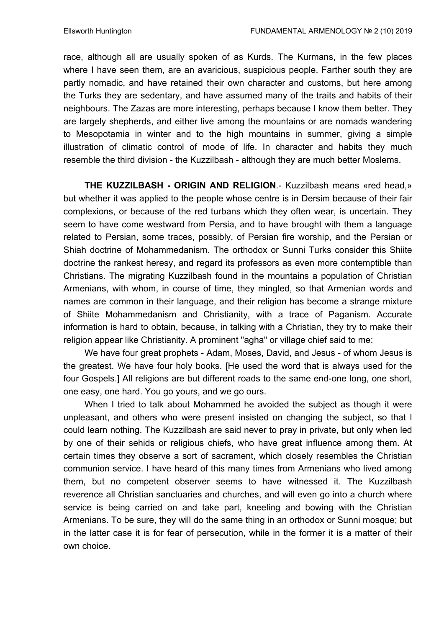race, although all are usually spoken of as Kurds. The Kurmans, in the few places where I have seen them, are an avaricious, suspicious people. Farther south they are partly nomadic, and have retained their own character and customs, but here among the Turks they are sedentary, and have assumed many of the traits and habits of their neighbours. The Zazas are more interesting, perhaps because I know them better. They are largely shepherds, and either live among the mountains or are nomads wandering to Mesopotamia in winter and to the high mountains in summer, giving a simple illustration of climatic control of mode of life. In character and habits they much resemble the third division - the Kuzzilbash - although they are much better Moslems.

**THE KUZZILBASH - ORIGIN AND RELIGION**.- Kuzzilbash means «red head,» but whether it was applied to the people whose centre is in Dersim because of their fair complexions, or because of the red turbans which they often wear, is uncertain. They seem to have come westward from Persia, and to have brought with them a language related to Persian, some traces, possibly, of Persian fire worship, and the Persian or Shiah doctrine of Mohammedanism. The orthodox or Sunni Turks consider this Shiite doctrine the rankest heresy, and regard its professors as even more contemptible than Christians. The migrating Kuzzilbash found in the mountains a population of Christian Armenians, with whom, in course of time, they mingled, so that Armenian words and names are common in their language, and their religion has become a strange mixture of Shiite Mohammedanism and Christianity, with a trace of Paganism. Accurate information is hard to obtain, because, in talking with a Christian, they try to make their religion appear like Christianity. A prominent "agha" or village chief said to me:

We have four great prophets - Adam, Moses, David, and Jesus - of whom Jesus is the greatest. We have four holy books. [He used the word that is always used for the four Gospels.] All religions are but different roads to the same end-one long, one short, one easy, one hard. You go yours, and we go ours.

When I tried to talk about Mohammed he avoided the subject as though it were unpleasant, and others who were present insisted on changing the subject, so that I could learn nothing. The Kuzzilbash are said never to pray in private, but only when led by one of their sehids or religious chiefs, who have great influence among them. At certain times they observe a sort of sacrament, which closely resembles the Christian communion service. I have heard of this many times from Armenians who lived among them, but no competent observer seems to have witnessed it. The Kuzzilbash reverence all Christian sanctuaries and churches, and will even go into a church where service is being carried on and take part, kneeling and bowing with the Christian Armenians. To be sure, they will do the same thing in an orthodox or Sunni mosque; but in the latter case it is for fear of persecution, while in the former it is a matter of their own choice.